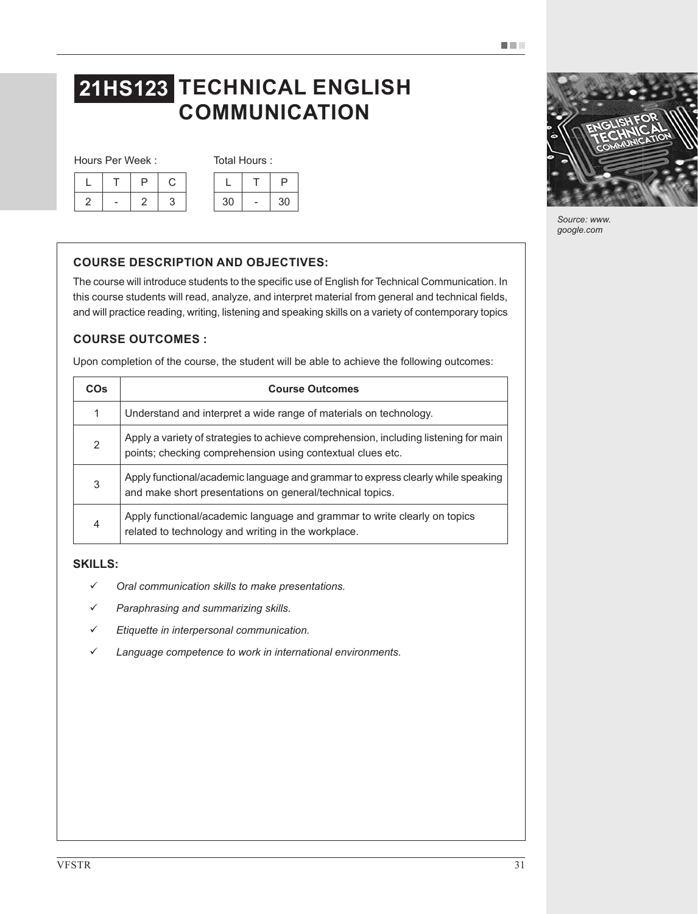# **21HS123 TECHNICAL ENGLISH COMMUNICATION**

Hours Per Week : Total Hours :

|  |  |  | 30 | sυ |
|--|--|--|----|----|

|    | ∍  |
|----|----|
| 30 | 30 |

# **COURSE DESCRIPTION AND OBJECTIVES:**

The course will introduce students to the specific use of English for Technical Communication. In this course students will read, analyze, and interpret material from general and technical fields, and will practice reading, writing, listening and speaking skills on a variety of contemporary topics

## **COURSE OUTCOMES :**

Upon completion of the course, the student will be able to achieve the following outcomes:

| <b>COs</b> | <b>Course Outcomes</b>                                                                                                                             |  |  |  |
|------------|----------------------------------------------------------------------------------------------------------------------------------------------------|--|--|--|
| 1          | Understand and interpret a wide range of materials on technology.                                                                                  |  |  |  |
| 2          | Apply a variety of strategies to achieve comprehension, including listening for main<br>points; checking comprehension using contextual clues etc. |  |  |  |
| 3          | Apply functional/academic language and grammar to express clearly while speaking<br>and make short presentations on general/technical topics.      |  |  |  |
| 4          | Apply functional/academic language and grammar to write clearly on topics<br>related to technology and writing in the workplace.                   |  |  |  |

## **SKILLS:**

- *Oral communication skills to make presentations.*
- *Paraphrasing and summarizing skills.*
- *Etiquette in interpersonal communication.*
- *Language competence to work in international environments.*



*Source: www. google.com*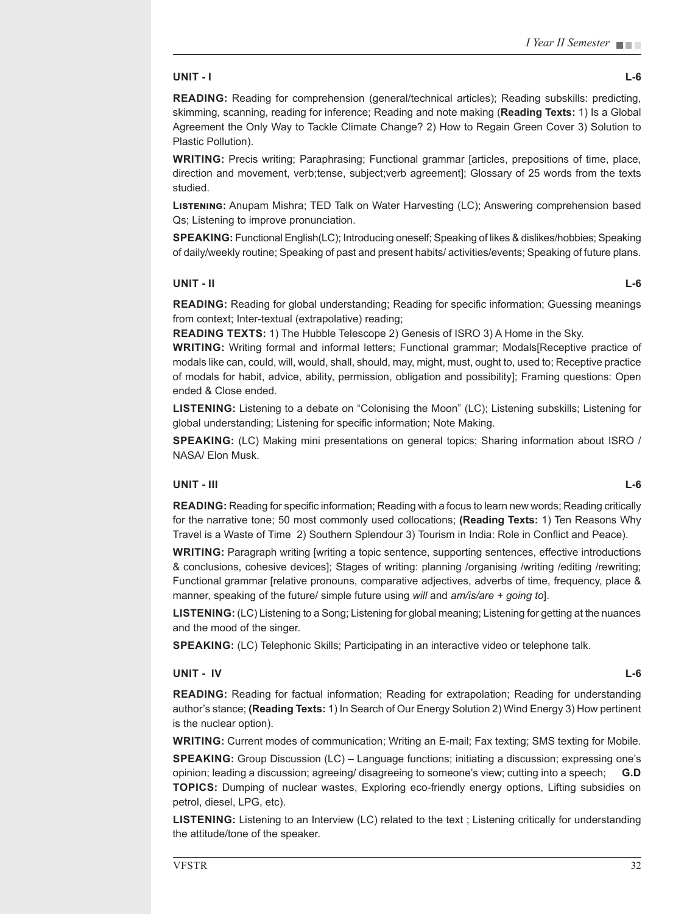#### **UNIT - I L-6**

**READING:** Reading for comprehension (general/technical articles); Reading subskills: predicting, skimming, scanning, reading for inference; Reading and note making (**Reading Texts:** 1) Is a Global Agreement the Only Way to Tackle Climate Change? 2) How to Regain Green Cover 3) Solution to Plastic Pollution).

**WRITING:** Precis writing; Paraphrasing; Functional grammar [articles, prepositions of time, place, direction and movement, verb;tense, subject;verb agreement]; Glossary of 25 words from the texts studied.

**Listening:** Anupam Mishra; TED Talk on Water Harvesting (LC); Answering comprehension based Qs; Listening to improve pronunciation.

**SPEAKING:** Functional English(LC); Introducing oneself; Speaking of likes & dislikes/hobbies; Speaking of daily/weekly routine; Speaking of past and present habits/ activities/events; Speaking of future plans.

#### **UNIT - II L-6**

**READING:** Reading for global understanding; Reading for specific information; Guessing meanings from context; Inter-textual (extrapolative) reading;

**READING TEXTS:** 1) The Hubble Telescope 2) Genesis of ISRO 3) A Home in the Sky.

**WRITING:** Writing formal and informal letters; Functional grammar; Modals[Receptive practice of modals like can, could, will, would, shall, should, may, might, must, ought to, used to; Receptive practice of modals for habit, advice, ability, permission, obligation and possibility]; Framing questions: Open ended & Close ended.

**LISTENING:** Listening to a debate on "Colonising the Moon" (LC); Listening subskills; Listening for global understanding; Listening for specific information; Note Making.

**SPEAKING:** (LC) Making mini presentations on general topics; Sharing information about ISRO / NASA/ Elon Musk.

#### **UNIT - III L-6**

**READING:** Reading for specific information; Reading with a focus to learn new words; Reading critically for the narrative tone; 50 most commonly used collocations; **(Reading Texts:** 1) Ten Reasons Why Travel is a Waste of Time 2) Southern Splendour 3) Tourism in India: Role in Conflict and Peace).

**WRITING:** Paragraph writing [writing a topic sentence, supporting sentences, effective introductions & conclusions, cohesive devices]; Stages of writing: planning /organising /writing /editing /rewriting; Functional grammar [relative pronouns, comparative adjectives, adverbs of time, frequency, place & manner, speaking of the future/ simple future using *will* and *am/is/are + going to*].

**LISTENING:** (LC) Listening to a Song; Listening for global meaning; Listening for getting at the nuances and the mood of the singer.

**SPEAKING:** (LC) Telephonic Skills; Participating in an interactive video or telephone talk.

#### **UNIT - IV L-6**

**READING:** Reading for factual information; Reading for extrapolation; Reading for understanding author's stance; **(Reading Texts:** 1) In Search of Our Energy Solution 2) Wind Energy 3) How pertinent is the nuclear option).

**WRITING:** Current modes of communication; Writing an E-mail; Fax texting; SMS texting for Mobile.

**SPEAKING:** Group Discussion (LC) – Language functions; initiating a discussion; expressing one's opinion; leading a discussion; agreeing/ disagreeing to someone's view; cutting into a speech; **G.D TOPICS:** Dumping of nuclear wastes, Exploring eco-friendly energy options, Lifting subsidies on petrol, diesel, LPG, etc).

**LISTENING:** Listening to an Interview (LC) related to the text ; Listening critically for understanding the attitude/tone of the speaker.